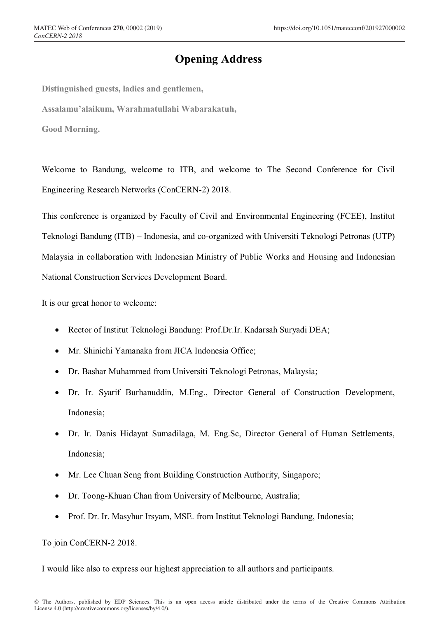## **Opening Address**

**Distinguished guests, ladies and gentlemen,**

**Assalamu'alaikum, Warahmatullahi Wabarakatuh,**

**Good Morning.**

Welcome to Bandung, welcome to ITB, and welcome to The Second Conference for Civil Engineering Research Networks (ConCERN-2) 2018.

This conference is organized by Faculty of Civil and Environmental Engineering (FCEE), Institut Teknologi Bandung (ITB) – Indonesia, and co-organized with Universiti Teknologi Petronas (UTP) Malaysia in collaboration with Indonesian Ministry of Public Works and Housing and Indonesian National Construction Services Development Board.

It is our great honor to welcome:

- Rector of Institut Teknologi Bandung: Prof.Dr.Ir. Kadarsah Suryadi DEA;
- Mr. Shinichi Yamanaka from JICA Indonesia Office;
- Dr. Bashar Muhammed from Universiti Teknologi Petronas, Malaysia;
- Dr. Ir. Syarif Burhanuddin, M.Eng., Director General of Construction Development, Indonesia;
- Dr. Ir. Danis Hidayat Sumadilaga, M. Eng.Sc, Director General of Human Settlements, Indonesia;
- Mr. Lee Chuan Seng from Building Construction Authority, Singapore;
- Dr. Toong-Khuan Chan from University of Melbourne, Australia;
- Prof. Dr. Ir. Masyhur Irsyam, MSE. from Institut Teknologi Bandung, Indonesia;

## To join ConCERN-2 2018.

I would like also to express our highest appreciation to all authors and participants.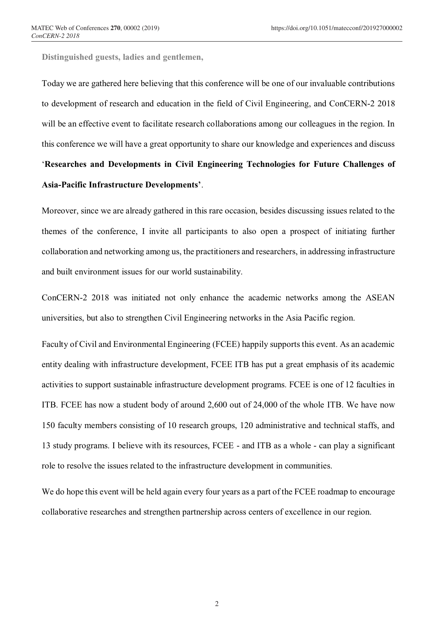**Distinguished guests, ladies and gentlemen,**

Today we are gathered here believing that this conference will be one of our invaluable contributions to development of research and education in the field of Civil Engineering, and ConCERN-2 2018 will be an effective event to facilitate research collaborations among our colleagues in the region. In this conference we will have a great opportunity to share our knowledge and experiences and discuss '**Researches and Developments in Civil Engineering Technologies for Future Challenges of Asia-Pacific Infrastructure Developments'**.

Moreover, since we are already gathered in this rare occasion, besides discussing issues related to the themes of the conference, I invite all participants to also open a prospect of initiating further collaboration and networking among us, the practitioners and researchers, in addressing infrastructure and built environment issues for our world sustainability.

ConCERN-2 2018 was initiated not only enhance the academic networks among the ASEAN universities, but also to strengthen Civil Engineering networks in the Asia Pacific region.

Faculty of Civil and Environmental Engineering (FCEE) happily supports this event. As an academic entity dealing with infrastructure development, FCEE ITB has put a great emphasis of its academic activities to support sustainable infrastructure development programs. FCEE is one of 12 faculties in ITB. FCEE has now a student body of around 2,600 out of 24,000 of the whole ITB. We have now 150 faculty members consisting of 10 research groups, 120 administrative and technical staffs, and 13 study programs. I believe with its resources, FCEE - and ITB as a whole - can play a significant role to resolve the issues related to the infrastructure development in communities.

We do hope this event will be held again every four years as a part of the FCEE roadmap to encourage collaborative researches and strengthen partnership across centers of excellence in our region.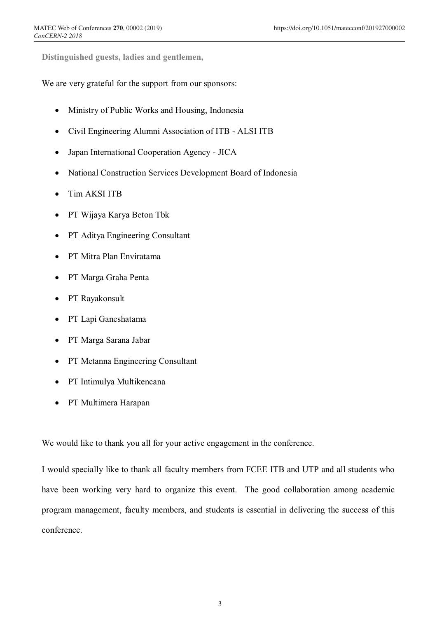**Distinguished guests, ladies and gentlemen,**

We are very grateful for the support from our sponsors:

- Ministry of Public Works and Housing, Indonesia
- Civil Engineering Alumni Association of ITB ALSI ITB
- Japan International Cooperation Agency JICA
- National Construction Services Development Board of Indonesia
- Tim AKSI ITB
- PT Wijaya Karya Beton Tbk
- PT Aditya Engineering Consultant
- PT Mitra Plan Enviratama
- PT Marga Graha Penta
- PT Rayakonsult
- PT Lapi Ganeshatama
- PT Marga Sarana Jabar
- PT Metanna Engineering Consultant
- PT Intimulya Multikencana
- PT Multimera Harapan

We would like to thank you all for your active engagement in the conference.

I would specially like to thank all faculty members from FCEE ITB and UTP and all students who have been working very hard to organize this event. The good collaboration among academic program management, faculty members, and students is essential in delivering the success of this conference.